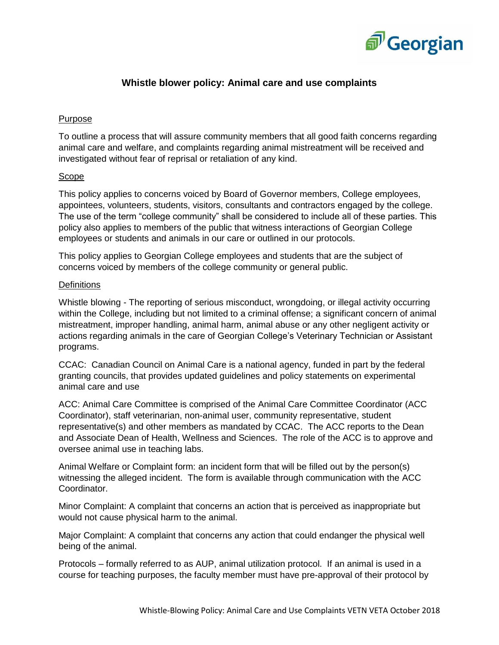

## **Whistle blower policy: Animal care and use complaints**

#### Purpose

To outline a process that will assure community members that all good faith concerns regarding animal care and welfare, and complaints regarding animal mistreatment will be received and investigated without fear of reprisal or retaliation of any kind.

#### Scope

This policy applies to concerns voiced by Board of Governor members, College employees, appointees, volunteers, students, visitors, consultants and contractors engaged by the college. The use of the term "college community" shall be considered to include all of these parties. This policy also applies to members of the public that witness interactions of Georgian College employees or students and animals in our care or outlined in our protocols.

This policy applies to Georgian College employees and students that are the subject of concerns voiced by members of the college community or general public.

#### **Definitions**

Whistle blowing - The reporting of serious misconduct, wrongdoing, or illegal activity occurring within the College, including but not limited to a criminal offense; a significant concern of animal mistreatment, improper handling, animal harm, animal abuse or any other negligent activity or actions regarding animals in the care of Georgian College's Veterinary Technician or Assistant programs.

CCAC: Canadian Council on Animal Care is a national agency, funded in part by the federal granting councils, that provides updated guidelines and policy statements on experimental animal care and use

ACC: Animal Care Committee is comprised of the Animal Care Committee Coordinator (ACC Coordinator), staff veterinarian, non-animal user, community representative, student representative(s) and other members as mandated by CCAC. The ACC reports to the Dean and Associate Dean of Health, Wellness and Sciences. The role of the ACC is to approve and oversee animal use in teaching labs.

Animal Welfare or Complaint form: an incident form that will be filled out by the person(s) witnessing the alleged incident. The form is available through communication with the ACC Coordinator.

Minor Complaint: A complaint that concerns an action that is perceived as inappropriate but would not cause physical harm to the animal.

Major Complaint: A complaint that concerns any action that could endanger the physical well being of the animal.

Protocols – formally referred to as AUP, animal utilization protocol. If an animal is used in a course for teaching purposes, the faculty member must have pre-approval of their protocol by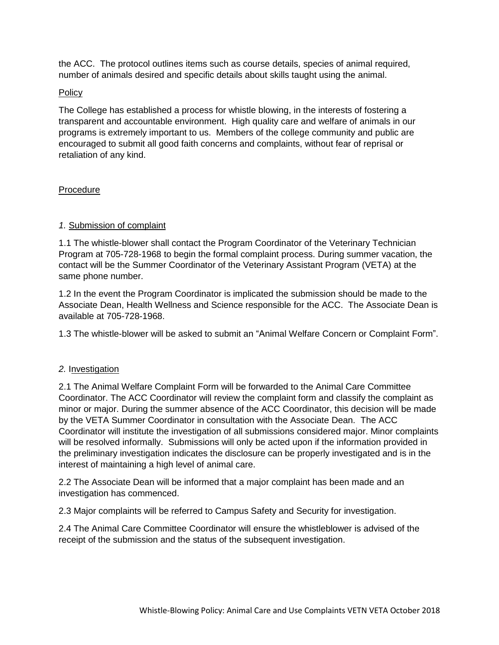the ACC. The protocol outlines items such as course details, species of animal required, number of animals desired and specific details about skills taught using the animal.

### Policy

The College has established a process for whistle blowing, in the interests of fostering a transparent and accountable environment. High quality care and welfare of animals in our programs is extremely important to us. Members of the college community and public are encouraged to submit all good faith concerns and complaints, without fear of reprisal or retaliation of any kind.

### Procedure

### *1.* Submission of complaint

1.1 The whistle-blower shall contact the Program Coordinator of the Veterinary Technician Program at 705-728-1968 to begin the formal complaint process. During summer vacation, the contact will be the Summer Coordinator of the Veterinary Assistant Program (VETA) at the same phone number.

1.2 In the event the Program Coordinator is implicated the submission should be made to the Associate Dean, Health Wellness and Science responsible for the ACC. The Associate Dean is available at 705-728-1968.

1.3 The whistle-blower will be asked to submit an "Animal Welfare Concern or Complaint Form".

## *2.* Investigation

2.1 The Animal Welfare Complaint Form will be forwarded to the Animal Care Committee Coordinator. The ACC Coordinator will review the complaint form and classify the complaint as minor or major. During the summer absence of the ACC Coordinator, this decision will be made by the VETA Summer Coordinator in consultation with the Associate Dean. The ACC Coordinator will institute the investigation of all submissions considered major. Minor complaints will be resolved informally. Submissions will only be acted upon if the information provided in the preliminary investigation indicates the disclosure can be properly investigated and is in the interest of maintaining a high level of animal care.

2.2 The Associate Dean will be informed that a major complaint has been made and an investigation has commenced.

2.3 Major complaints will be referred to Campus Safety and Security for investigation.

2.4 The Animal Care Committee Coordinator will ensure the whistleblower is advised of the receipt of the submission and the status of the subsequent investigation.